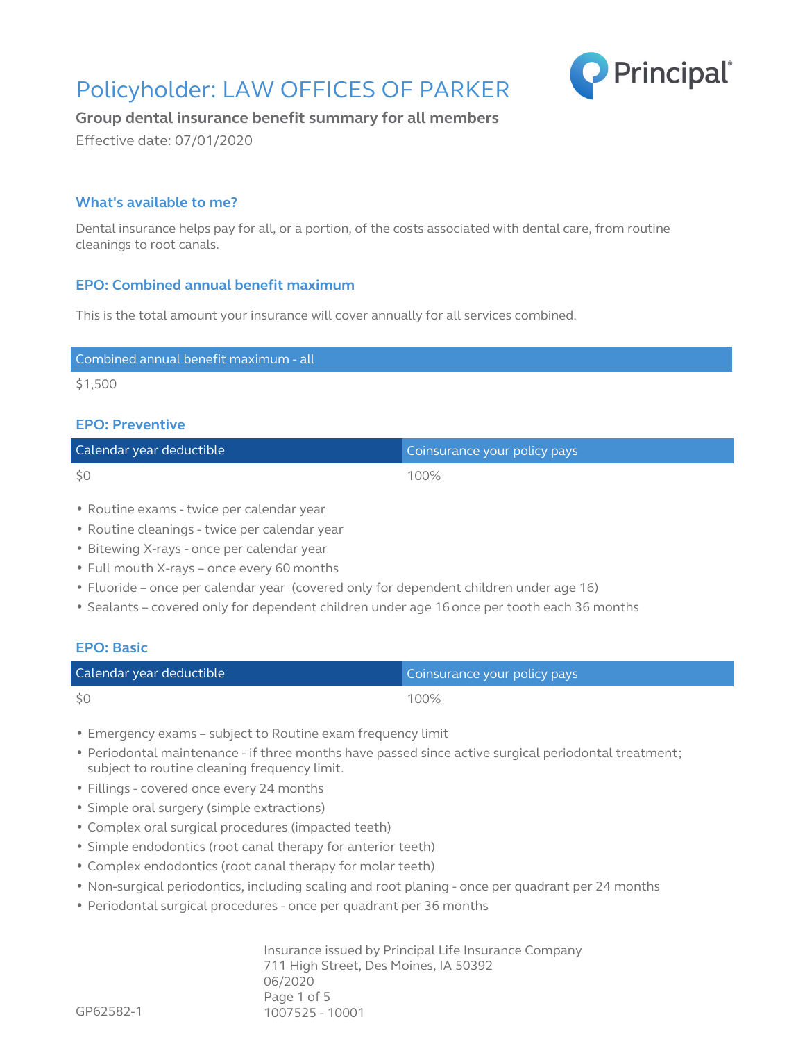# Policyholder: LAW OFFICES OF PARKER Principal



# **Group dental insurance benefit summary for all members**

Effective date: 07/01/2020

# **What's available to me?**

Dental insurance helps pay for all, or a portion, of the costs associated with dental care, from routine cleanings to root canals.

# **EPO: Combined annual benefit maximum**

This is the total amount your insurance will cover annually for all services combined.

| Combined annual benefit maximum - all |
|---------------------------------------|

\$1,500

## **EPO: Preventive**

| Calendar year deductible | Coinsurance your policy pays |
|--------------------------|------------------------------|
| \$0                      | 100%                         |

- Routine exams twice per calendar year
- Routine cleanings twice per calendar year
- Bitewing X-rays once per calendar year
- Full mouth X-rays once every 60 months
- Fluoride once per calendar year (covered only for dependent children under age 16)
- Sealants covered only for dependent children under age 16 once per tooth each 36 months

### **EPO: Basic**

| Calendar year deductible | Coinsurance your policy pays |
|--------------------------|------------------------------|
| \$0                      | 100%                         |

- Emergency exams subject to Routine exam frequency limit
- Periodontal maintenance if three months have passed since active surgical periodontal treatment; subject to routine cleaning frequency limit.
- Fillings covered once every 24 months
- Simple oral surgery (simple extractions)
- Complex oral surgical procedures (impacted teeth)
- Simple endodontics (root canal therapy for anterior teeth)
- Complex endodontics (root canal therapy for molar teeth)
- Non-surgical periodontics, including scaling and root planing once per quadrant per 24 months
- Periodontal surgical procedures once per quadrant per 36 months

Insurance issued by Principal Life Insurance Company 711 High Street, Des Moines, IA 50392 06/2020 Page 1 of 5 1007525 - 10001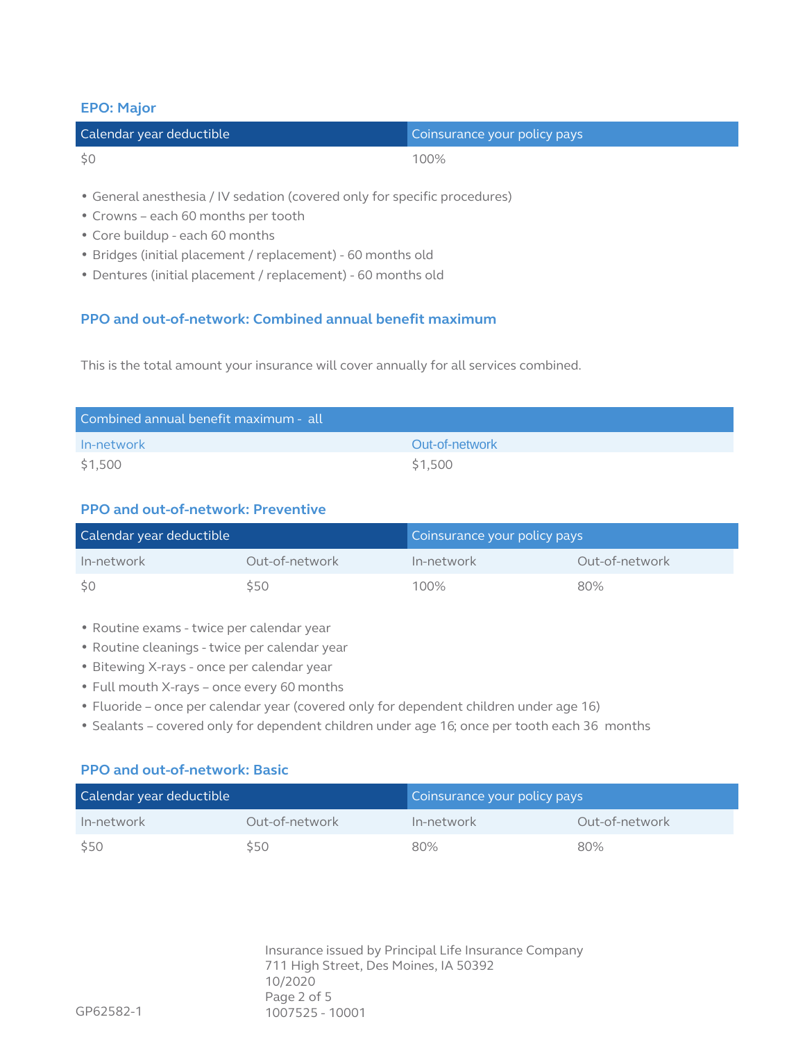### **EPO: Major**

| Calendar year deductible | Coinsurance your policy pays |
|--------------------------|------------------------------|
| \$0                      | 100%                         |

- General anesthesia / IV sedation (covered only for specific procedures)
- Crowns each 60 months per tooth
- Core buildup each 60 months
- Bridges (initial placement / replacement) 60 months old
- Dentures (initial placement / replacement) 60 months old

# **PPO and out-of-network: Combined annual benefit maximum**

This is the total amount your insurance will cover annually for all services combined.

| Combined annual benefit maximum - all |                |  |  |
|---------------------------------------|----------------|--|--|
| In-network                            | Out-of-network |  |  |
| \$1,500                               | \$1,500        |  |  |

# **PPO and out-of-network: Preventive**

| Calendar year deductible |                | Coinsurance your policy pays |                |
|--------------------------|----------------|------------------------------|----------------|
| In-network               | Out-of-network | In-network                   | Out-of-network |
| - \$0                    | \$50           | 100%                         | 80%            |

- Routine exams twice per calendar year
- Routine cleanings twice per calendar year
- Bitewing X-rays once per calendar year
- Full mouth X-rays once every 60 months
- Fluoride once per calendar year (covered only for dependent children under age 16)
- Sealants covered only for dependent children under age 16; once per tooth each 36 months

## **PPO and out-of-network: Basic**

| Calendar year deductible |                | Coinsurance your policy pays |                |
|--------------------------|----------------|------------------------------|----------------|
| In-network               | Out-of-network | In-network                   | Out-of-network |
| \$50                     | \$50           | 80%                          | 80%            |

Insurance issued by Principal Life Insurance Company 711 High Street, Des Moines, IA 50392 10/2020 Page 2 of 5 1007525 - 10001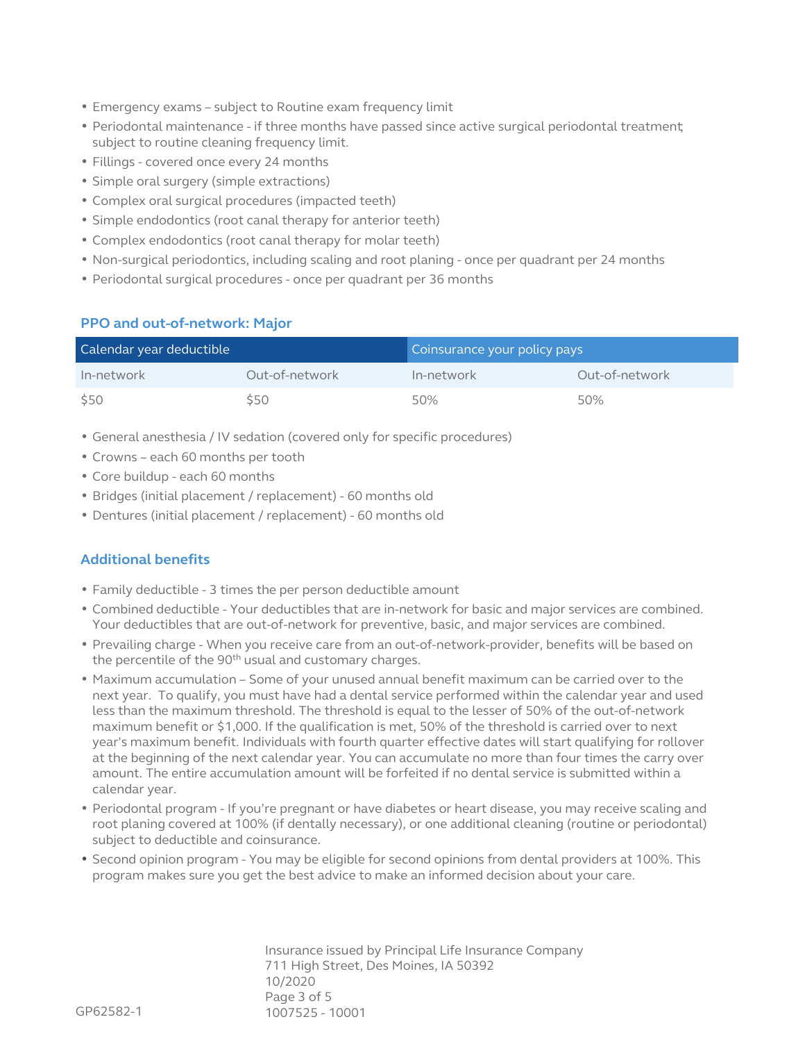- Emergency exams subject to Routine exam frequency limit
- Periodontal maintenance if three months have passed since active surgical periodontal treatment; subject to routine cleaning frequency limit.
- Fillings covered once every 24 months
- Simple oral surgery (simple extractions)
- Complex oral surgical procedures (impacted teeth)
- Simple endodontics (root canal therapy for anterior teeth)
- Complex endodontics (root canal therapy for molar teeth)
- Non-surgical periodontics, including scaling and root planing once per quadrant per 24 months
- Periodontal surgical procedures once per quadrant per 36 months

#### **PPO and out-of-network: Major**

| Calendar year deductible |                | Coinsurance your policy pays |                |
|--------------------------|----------------|------------------------------|----------------|
| In-network               | Out-of-network | In-network                   | Out-of-network |
| \$50                     | \$50           | 50%                          | 50%            |

- General anesthesia / IV sedation (covered only for specific procedures)
- Crowns each 60 months per tooth
- Core buildup each 60 months
- Bridges (initial placement / replacement) 60 months old
- Dentures (initial placement / replacement) 60 months old

# **Additional benefits**

- Family deductible 3 times the per person deductible amount
- Combined deductible Your deductibles that are in-network for basic and major services are combined. Your deductibles that are out-of-network for preventive, basic, and major services are combined.
- Prevailing charge When you receive care from an out-of-network-provider, benefits will be based on the percentile of the 90<sup>th</sup> usual and customary charges.
- Maximum accumulation Some of your unused annual benefit maximum can be carried over to the next year. To qualify, you must have had a dental service performed within the calendar year and used less than the maximum threshold. The threshold is equal to the lesser of 50% of the out-of-network maximum benefit or  $$1,000$ . If the qualification is met, 50% of the threshold is carried over to next year's maximum benefit. Individuals with fourth quarter effective dates will start qualifying for rollover at the beginning of the next calendar year. You can accumulate no more than four times the carry over amount. The entire accumulation amount will be forfeited if no dental service is submitted within a calendar year.
- Periodontal program If you're pregnant or have diabetes or heart disease, you may receive scaling and root planing covered at 100% (if dentally necessary), or one additional cleaning (routine or periodontal) subject to deductible and coinsurance.
- Second opinion program You may be eligible for second opinions from dental providers at 100%. This program makes sure you get the best advice to make an informed decision about your care.

Insurance issued by Principal Life Insurance Company 711 High Street, Des Moines, IA 50392 10/2020 Page 3 of 5 1007525 - 10001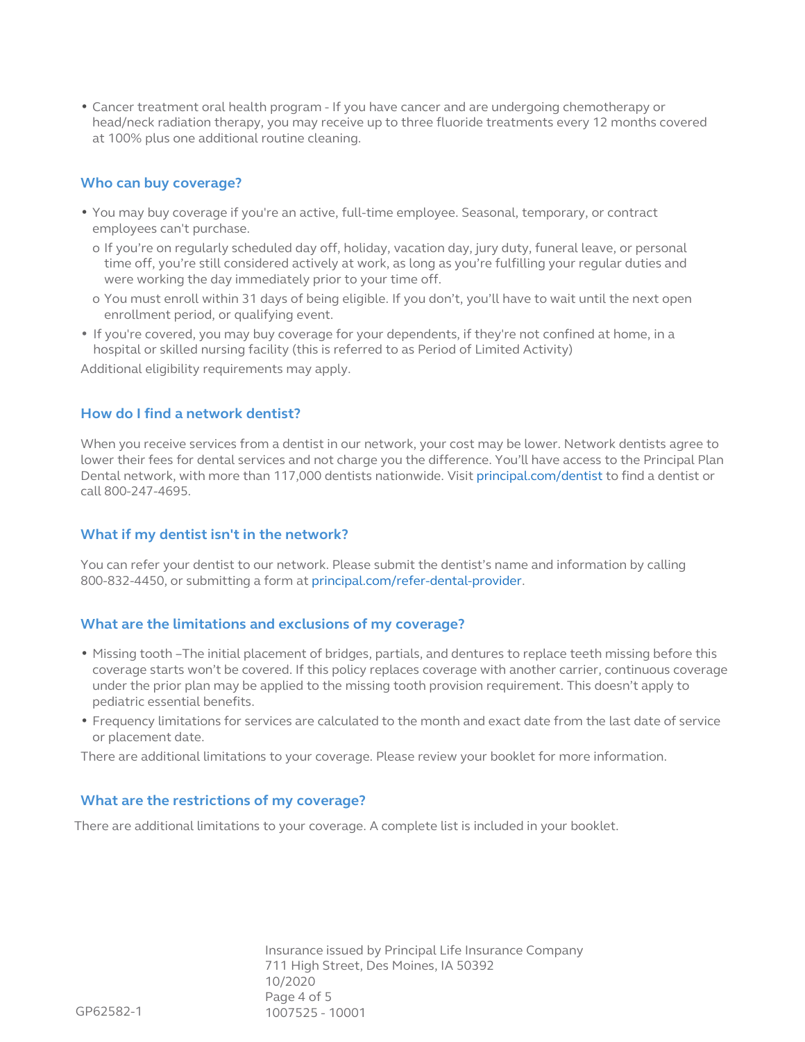• Cancer treatment oral health program - If you have cancer and are undergoing chemotherapy or head/neck radiation therapy, you may receive up to three fluoride treatments every 12 months covered at 100% plus one additional routine cleaning.

#### **Who can buy coverage?**

- You may buy coverage if you're an active, full-time employee. Seasonal, temporary, or contract employees can't purchase.
	- o If you're on regularly scheduled day off, holiday, vacation day, jury duty, funeral leave, or personal time off, you're still considered actively at work, as long as you're fulfilling your regular duties and were working the day immediately prior to your time off.
	- o You must enroll within 31 days of being eligible. If you don't, you'll have to wait until the next open enrollment period, or qualifying event.
- If you're covered, you may buy coverage for your dependents, if they're not confined at home, in a hospital or skilled nursing facility (this is referred to as Period of Limited Activity)

Additional eligibility requirements may apply.

#### **How do I find a network dentist?**

When you receive services from a dentist in our network, your cost may be lower. Network dentists agree to lower their fees for dental services and not charge you the difference. You'll have access to the Principal Plan Dental network, with more than 117,000 dentists nationwide. Visit [principal.com/dentist](http://principal.com/dentist) to find a dentist or call 800-247-4695.

### **What if my dentist isn't in the network?**

You can refer your dentist to our network. Please submit the dentist's name and information by calling 800-832-4450, or submitting a form at [principal.com/refer-dental-provider](http://principal.com/refer-dental-provider).

#### **What are the limitations and exclusions of my coverage?**

- Missing tooth –The initial placement of bridges, partials, and dentures to replace teeth missing before this coverage starts won't be covered. If this policy replaces coverage with another carrier, continuous coverage under the prior plan may be applied to the missing tooth provision requirement. This doesn't apply to pediatric essential benefits.
- Frequency limitations for services are calculated to the month and exact date from the last date of service or placement date.

There are additional limitations to your coverage. Please review your booklet for more information.

#### **What are the restrictions of my coverage?**

There are additional limitations to your coverage. A complete list is included in your booklet.

Insurance issued by Principal Life Insurance Company 711 High Street, Des Moines, IA 50392 10/2020 Page 4 of 5 1007525 - 10001